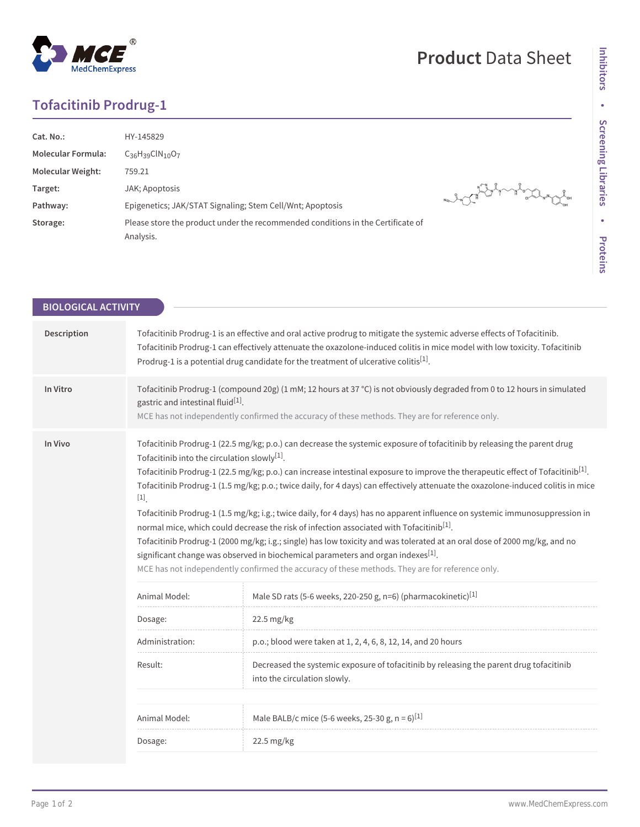## **Product** Data Sheet

## **Tofacitinib Prodrug-1**

| Cat. No.:                 | HY-145829                                                                                    |                      |
|---------------------------|----------------------------------------------------------------------------------------------|----------------------|
| <b>Molecular Formula:</b> | $C_{36}H_{39}CIN_{10}O_7$                                                                    |                      |
| <b>Molecular Weight:</b>  | 759.21                                                                                       |                      |
| Target:                   | JAK; Apoptosis                                                                               | A THAT A MARIAN PORT |
| Pathway:                  | Epigenetics; JAK/STAT Signaling; Stem Cell/Wnt; Apoptosis                                    |                      |
| Storage:                  | Please store the product under the recommended conditions in the Certificate of<br>Analysis. |                      |

| <b>BIOLOGICAL ACTIVITY</b> |                                                                                                                                                                                                                                                                                                                                                                                                                                                                                                                                                                                                                                                                                                                                                                                                                                                                                                                                                                                                                                                                          |                                                                                                                         |  |  |
|----------------------------|--------------------------------------------------------------------------------------------------------------------------------------------------------------------------------------------------------------------------------------------------------------------------------------------------------------------------------------------------------------------------------------------------------------------------------------------------------------------------------------------------------------------------------------------------------------------------------------------------------------------------------------------------------------------------------------------------------------------------------------------------------------------------------------------------------------------------------------------------------------------------------------------------------------------------------------------------------------------------------------------------------------------------------------------------------------------------|-------------------------------------------------------------------------------------------------------------------------|--|--|
|                            |                                                                                                                                                                                                                                                                                                                                                                                                                                                                                                                                                                                                                                                                                                                                                                                                                                                                                                                                                                                                                                                                          |                                                                                                                         |  |  |
| Description                | Tofacitinib Prodrug-1 is an effective and oral active prodrug to mitigate the systemic adverse effects of Tofacitinib.<br>Tofacitinib Prodrug-1 can effectively attenuate the oxazolone-induced colitis in mice model with low toxicity. Tofacitinib<br>Prodrug-1 is a potential drug candidate for the treatment of ulcerative colitis <sup>[1]</sup> .                                                                                                                                                                                                                                                                                                                                                                                                                                                                                                                                                                                                                                                                                                                 |                                                                                                                         |  |  |
| In Vitro                   | Tofacitinib Prodrug-1 (compound 20g) (1 mM; 12 hours at 37 °C) is not obviously degraded from 0 to 12 hours in simulated<br>gastric and intestinal fluid <sup>[1]</sup> .<br>MCE has not independently confirmed the accuracy of these methods. They are for reference only.                                                                                                                                                                                                                                                                                                                                                                                                                                                                                                                                                                                                                                                                                                                                                                                             |                                                                                                                         |  |  |
| In Vivo                    | Tofacitinib Prodrug-1 (22.5 mg/kg; p.o.) can decrease the systemic exposure of tofacitinib by releasing the parent drug<br>To facitinib into the circulation slowly <sup>[1]</sup> .<br>Tofacitinib Prodrug-1 (22.5 mg/kg; p.o.) can increase intestinal exposure to improve the therapeutic effect of Tofacitinib <sup>[1]</sup> .<br>Tofacitinib Prodrug-1 (1.5 mg/kg; p.o.; twice daily, for 4 days) can effectively attenuate the oxazolone-induced colitis in mice<br>$\left[ 1\right] _{.}$<br>Tofacitinib Prodrug-1 (1.5 mg/kg; i.g.; twice daily, for 4 days) has no apparent influence on systemic immunosuppression in<br>normal mice, which could decrease the risk of infection associated with Tofacitinib <sup>[1]</sup> .<br>Tofacitinib Prodrug-1 (2000 mg/kg; i.g.; single) has low toxicity and was tolerated at an oral dose of 2000 mg/kg, and no<br>significant change was observed in biochemical parameters and organ indexes <sup>[1]</sup> .<br>MCE has not independently confirmed the accuracy of these methods. They are for reference only. |                                                                                                                         |  |  |
|                            | Animal Model:                                                                                                                                                                                                                                                                                                                                                                                                                                                                                                                                                                                                                                                                                                                                                                                                                                                                                                                                                                                                                                                            | Male SD rats (5-6 weeks, 220-250 g, n=6) (pharmacokinetic) <sup>[1]</sup>                                               |  |  |
|                            | Dosage:                                                                                                                                                                                                                                                                                                                                                                                                                                                                                                                                                                                                                                                                                                                                                                                                                                                                                                                                                                                                                                                                  | 22.5 mg/kg                                                                                                              |  |  |
|                            | Administration:                                                                                                                                                                                                                                                                                                                                                                                                                                                                                                                                                                                                                                                                                                                                                                                                                                                                                                                                                                                                                                                          | p.o.; blood were taken at 1, 2, 4, 6, 8, 12, 14, and 20 hours                                                           |  |  |
|                            | Result:                                                                                                                                                                                                                                                                                                                                                                                                                                                                                                                                                                                                                                                                                                                                                                                                                                                                                                                                                                                                                                                                  | Decreased the systemic exposure of tofacitinib by releasing the parent drug tofacitinib<br>into the circulation slowly. |  |  |
|                            | Animal Model:                                                                                                                                                                                                                                                                                                                                                                                                                                                                                                                                                                                                                                                                                                                                                                                                                                                                                                                                                                                                                                                            | Male BALB/c mice (5-6 weeks, 25-30 g, $n = 6$ ) <sup>[1]</sup>                                                          |  |  |
|                            | Dosage:                                                                                                                                                                                                                                                                                                                                                                                                                                                                                                                                                                                                                                                                                                                                                                                                                                                                                                                                                                                                                                                                  | 22.5 mg/kg                                                                                                              |  |  |
|                            |                                                                                                                                                                                                                                                                                                                                                                                                                                                                                                                                                                                                                                                                                                                                                                                                                                                                                                                                                                                                                                                                          |                                                                                                                         |  |  |